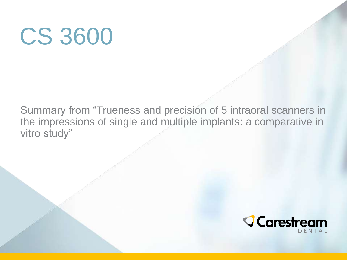# CS 3600

Summary from "Trueness and precision of 5 intraoral scanners in the impressions of single and multiple implants: a comparative in vitro study"

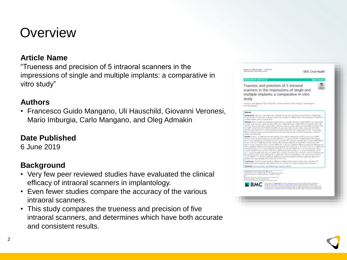#### **Overview**

#### **Article Name**

"Trueness and precision of 5 intraoral scanners in the impressions of single and multiple implants: a comparative in vitro study"

#### **Authors**

• Francesco Guido Mangano, Uli Hauschild, Giovanni Veronesi, Mario Imburgia, Carlo Mangano, and Oleg Admakin

#### **Date Published**

6 June 2019

#### **Background**

- Very few peer reviewed studies have evaluated the clinical efficacy of intraoral scanners in implantology.
- Even fewer studies compare the accuracy of the various intraoral scanners.
- This study compares the trueness and precision of five intraoral scanners, and determines which have both accurate and consistent results.

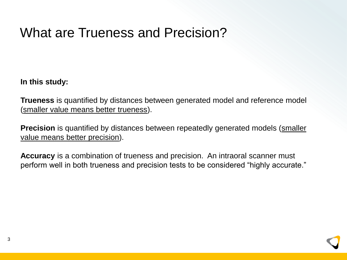### What are Trueness and Precision?

**In this study:**

**Trueness** is quantified by distances between generated model and reference model (smaller value means better trueness).

**Precision** is quantified by distances between repeatedly generated models (smaller value means better precision).

**Accuracy** is a combination of trueness and precision. An intraoral scanner must perform well in both trueness and precision tests to be considered "highly accurate."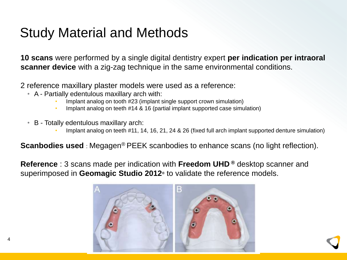#### Study Material and Methods

**10 scans** were performed by a single digital dentistry expert **per indication per intraoral scanner device** with a zig-zag technique in the same environmental conditions.

2 reference maxillary plaster models were used as a reference:

- A Partially edentulous maxillary arch with:
	- Implant analog on tooth #23 (implant single support crown simulation)
	- Implant analog on teeth #14 & 16 (partial implant supported case simulation)
- B Totally edentulous maxillary arch:
	- Implant analog on teeth #11, 14, 16, 21, 24 & 26 (fixed full arch implant supported denture simulation)

**Scanbodies used** : Megagen® PEEK scanbodies to enhance scans (no light reflection).

**Reference** : 3 scans made per indication with **Freedom UHD ®** desktop scanner and superimposed in **Geomagic Studio 2012®** to validate the reference models.

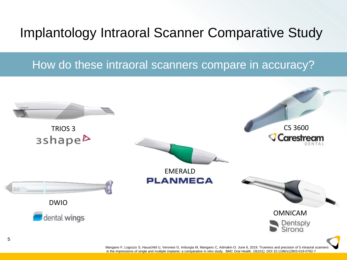#### Implantology Intraoral Scanner Comparative Study

#### How do these intraoral scanners compare in accuracy?

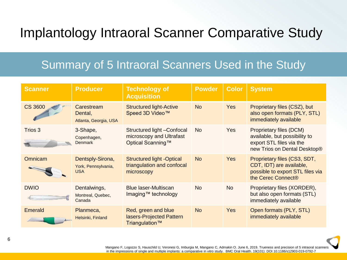### Implantology Intraoral Scanner Comparative Study

#### Summary of 5 Intraoral Scanners Used in the Study

| <b>Scanner</b> | <b>Producer</b>                                       | <b>Technology of</b><br><b>Acquisition</b>                                   | <b>Powder</b> | <b>Color</b> | <b>System</b>                                                                                                               |
|----------------|-------------------------------------------------------|------------------------------------------------------------------------------|---------------|--------------|-----------------------------------------------------------------------------------------------------------------------------|
| <b>CS 3600</b> | Carestream<br>Dental,<br>Atlanta, Georgia, USA        | <b>Structured light-Active</b><br>Speed 3D Video™                            | <b>No</b>     | <b>Yes</b>   | Proprietary files (CSZ), but<br>also open formats (PLY, STL)<br>immediately available                                       |
| Trios 3        | 3-Shape,<br>Copenhagen,<br><b>Denmark</b>             | Structured light - Confocal<br>microscopy and Ultrafast<br>Optical Scanning™ | <b>No</b>     | Yes          | <b>Proprietary files (DCM)</b><br>available, but possibility to<br>export STL files via the<br>new Trios on Dental Desktop® |
| <b>Omnicam</b> | Dentsply-Sirona,<br>York, Pennsylvania,<br><b>USA</b> | <b>Structured light -Optical</b><br>triangulation and confocal<br>microscopy | <b>No</b>     | <b>Yes</b>   | Proprietary files (CS3, SDT,<br>CDT, IDT) are available,<br>possible to export STL files via<br>the Cerec Connect®          |
| <b>DWIO</b>    | Dentalwings,<br>Montreal, Quebec,<br>Canada           | <b>Blue laser-Multiscan</b><br>Imaging™ technology                           | <b>No</b>     | <b>No</b>    | Proprietary files (XORDER),<br>but also open formats (STL)<br>immediately available                                         |
| Emerald        | Planmeca,<br>Helsinki, Finland                        | Red, green and blue<br>lasers-Projected Pattern<br>Triangulation™            | <b>No</b>     | <b>Yes</b>   | Open formats (PLY, STL)<br>immediately available                                                                            |

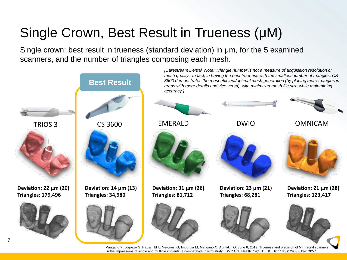# Single Crown, Best Result in Trueness (μM)

7

Single crown: best result in trueness (standard deviation) in μm, for the 5 examined scanners, and the number of triangles composing each mesh.

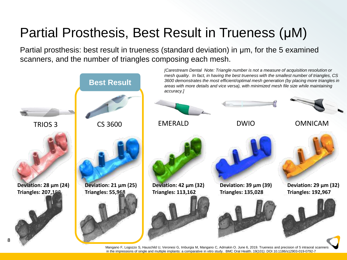## Partial Prosthesis, Best Result in Trueness (μM)

Partial prosthesis: best result in trueness (standard deviation) in μm, for the 5 examined scanners, and the number of triangles composing each mesh.

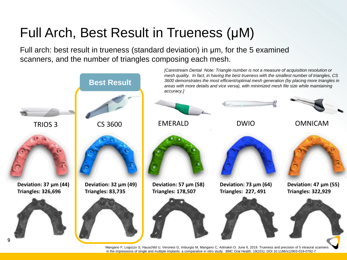# Full Arch, Best Result in Trueness (μM)

Full arch: best result in trueness (standard deviation) in μm, for the 5 examined scanners, and the number of triangles composing each mesh.

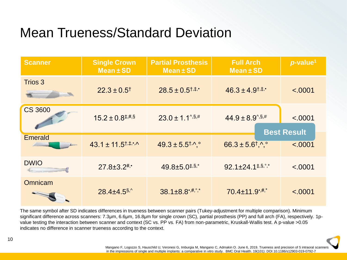### Mean Trueness/Standard Deviation

| <b>Scanner</b>              | <b>Single Crown</b><br>Mean $\pm$ SD         | <b>Partial Prosthesis</b><br>Mean $\pm$ SD       | <b>Full Arch</b><br>Mean $\pm$ SD             | p-value <sup>1</sup>          |
|-----------------------------|----------------------------------------------|--------------------------------------------------|-----------------------------------------------|-------------------------------|
| <b>Trios 3</b><br>m.        | $22.3 \pm 0.5$ <sup>†</sup>                  | $28.5 \pm 0.5^{\dagger,\ddag}$ .                 | $46.3 \pm 4.9^{\dagger,\ddagger,\ddagger}$    | < .0001                       |
| <b>CS 3600</b>              | $15.2 \pm 0.8^{\text{+},\text{#},\text{\$}}$ | $23.0 \pm 1.1^{\text{A},\text{S},\#}$            | $44.9 \pm 8.9^{\text{A},\text{S},\#}$         | < .0001<br><b>Best Result</b> |
| <b>Emerald</b>              | $43.1 \pm 11.5$ <sup>t,‡,•</sup> ,^          | $49.3 \pm 5.5^{\dagger, A}$ .                    | $66.3 \pm 5.6^{\dagger}$ .^.°                 | < .0001                       |
| <b>DWIO</b><br><b>Group</b> | $27.8 \pm 3.2$ <sup>#,•</sup>                | $49.8 \pm 5.0$ <sup><math>\pm</math>, §, *</sup> | $92.1 \pm 24.1^{\text{+},\text{S},\degree,*}$ | < .0001                       |
| Omnicam                     | $28.4 \pm 4.5$ \$,^                          | $38.1 \pm 8.8$ ; #, $\degree$ , *                | $70.4 \pm 11.9$ <sup>*,#,*</sup>              | < .0001                       |

The same symbol after SD indicates differences in trueness between scanner pairs (Tukey-adjustment for multiple comparison). Minimum significant difference across scanners: 7.3μm, 6.6μm, 16.8μm for single crown (SC), partial prosthesis (PP) and full arch (FA), respectively. 1pvalue testing the interaction between scanner and context (SC vs. PP vs. FA) from non-parametric, Kruskall-Wallis test. A p-value >0.05 indicates no difference in scanner trueness according to the context.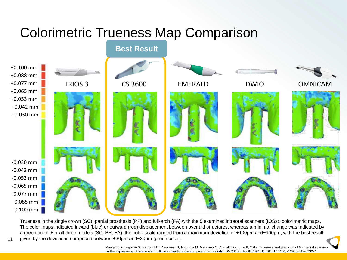### Colorimetric Trueness Map Comparison



Trueness in the single crown (SC), partial prosthesis (PP) and full-arch (FA) with the 5 examined intraoral scanners (IOSs): colorimetric maps. The color maps indicated inward (blue) or outward (red) displacement between overlaid structures, whereas a minimal change was indicated by a green color. For all three models (SC, PP, FA): the color scale ranged from a maximum deviation of +100μm and−100μm, with the best result given by the deviations comprised between +30μm and−30μm (green color).

11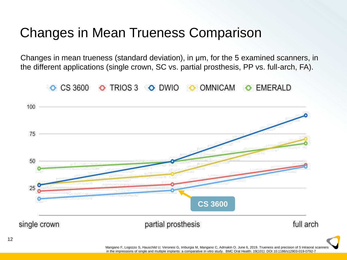#### Changes in Mean Trueness Comparison

Changes in mean trueness (standard deviation), in μm, for the 5 examined scanners, in the different applications (single crown, SC vs. partial prosthesis, PP vs. full-arch, FA).



in the impressions of single and multiple implants: a comparative in vitro study. BMC Oral Health. 19(101): DOI 10.1186/s12903-019-0792-7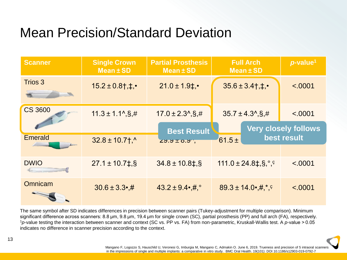### Mean Precision/Standard Deviation

| <b>Scanner</b> | <b>Single Crown</b><br>Mean $\pm$ SD | <b>Partial Prosthesis</b><br>Mean $\pm$ SD | <b>Full Arch</b><br>Mean $\pm$ SD           | p-value <sup>1</sup>        |
|----------------|--------------------------------------|--------------------------------------------|---------------------------------------------|-----------------------------|
| Trios 3        | $15.2 \pm 0.8$ †, $\ddagger$ , •     | $21.0 \pm 1.9$ :                           | $35.6 \pm 3.4$ †. ‡. •                      | < .0001                     |
| <b>CS 3600</b> | $11.3 \pm 1.1^{\circ}$ , \$, #       | $17.0 \pm 2.3^{\circ}$ , \$, #             | $35.7 \pm 4.3^{\circ}$ , \$, #              | < .0001                     |
|                |                                      | <b>Best Result</b>                         |                                             | <b>Very closely follows</b> |
| <b>Emerald</b> | $32.8 \pm 10.7$ †.                   | $ZJ.70 \pm 0.5$                            | $61.5 \pm$                                  | best result                 |
| <b>DWIO</b>    | $27.1 \pm 10.7$ ‡, §                 | $34.8 \pm 10.8 \pm 0.8$                    | 111.0 ± 24.8‡, $\S$ , $\degree$ , $\degree$ | < .0001                     |
| <b>Omnicam</b> | $30.6 \pm 3.3$ .#                    | $43.2 \pm 9.4 \cdot \#$ .                  | $89.3 \pm 14.0 \cdot 4.4$                   | < .0001                     |

The same symbol after SD indicates differences in precision between scanner pairs (Tukey-adjustment for multiple comparison). Minimum significant difference across scanners: 8.8 μm, 9.8 μm, 19.4 μm for single crown (SC), partial prosthesis (PP) and full arch (FA), respectively. <sup>1</sup>*p*-value testing the interaction between scanner and context (SC vs. PP vs. FA) from non-parametric, Kruskall-Wallis test. A *p*-value > 0.05 indicates no difference in scanner precision according to the context.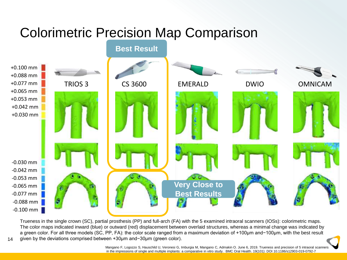### Colorimetric Precision Map Comparison



Trueness in the single crown (SC), partial prosthesis (PP) and full-arch (FA) with the 5 examined intraoral scanners (IOSs): colorimetric maps. The color maps indicated inward (blue) or outward (red) displacement between overlaid structures, whereas a minimal change was indicated by a green color. For all three models (SC, PP, FA): the color scale ranged from a maximum deviation of +100μm and−100μm, with the best result given by the deviations comprised between +30μm and−30μm (green color).

14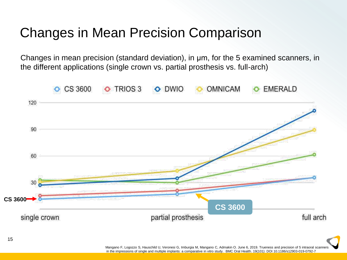#### Changes in Mean Precision Comparison

Changes in mean precision (standard deviation), in μm, for the 5 examined scanners, in the different applications (single crown vs. partial prosthesis vs. full-arch)